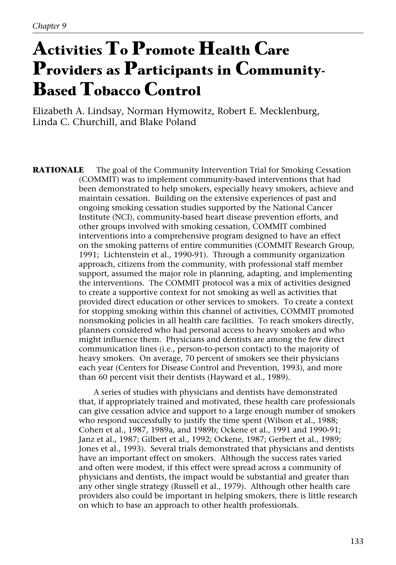## **Activities To Promote Health Care Providers as Participants in Community-Based Tobacco Control**

Elizabeth A. Lindsay, Norman Hymowitz, Robert E. Mecklenburg, Linda C. Churchill, and Blake Poland

**RATIONALE** The goal of the Community Intervention Trial for Smoking Cessation (COMMIT) was to implement community-based interventions that had been demonstrated to help smokers, especially heavy smokers, achieve and maintain cessation. Building on the extensive experiences of past and ongoing smoking cessation studies supported by the National Cancer Institute (NCI), community-based heart disease prevention efforts, and other groups involved with smoking cessation, COMMIT combined interventions into a comprehensive program designed to have an effect on the smoking patterns of entire communities (COMMIT Research Group, 1991; Lichtenstein et al., 1990-91). Through a community organization approach, citizens from the community, with professional staff member support, assumed the major role in planning, adapting, and implementing the interventions. The COMMIT protocol was a mix of activities designed to create a supportive context for not smoking as well as activities that provided direct education or other services to smokers. To create a context for stopping smoking within this channel of activities, COMMIT promoted nonsmoking policies in all health care facilities. To reach smokers directly, planners considered who had personal access to heavy smokers and who might influence them. Physicians and dentists are among the few direct communication lines (i.e., person-to-person contact) to the majority of heavy smokers. On average, 70 percent of smokers see their physicians each year (Centers for Disease Control and Prevention, 1993), and more than 60 percent visit their dentists (Hayward et al., 1989).

> A series of studies with physicians and dentists have demonstrated that, if appropriately trained and motivated, these health care professionals can give cessation advice and support to a large enough number of smokers who respond successfully to justify the time spent (Wilson et al., 1988; Cohen et al., 1987, 1989a, and 1989b; Ockene et al., 1991 and 1990-91; Janz et al., 1987; Gilbert et al., 1992; Ockene, 1987; Gerbert et al., 1989; Jones et al., 1993). Several trials demonstrated that physicians and dentists have an important effect on smokers. Although the success rates varied and often were modest, if this effect were spread across a community of physicians and dentists, the impact would be substantial and greater than any other single strategy (Russell et al., 1979). Although other health care providers also could be important in helping smokers, there is little research on which to base an approach to other health professionals.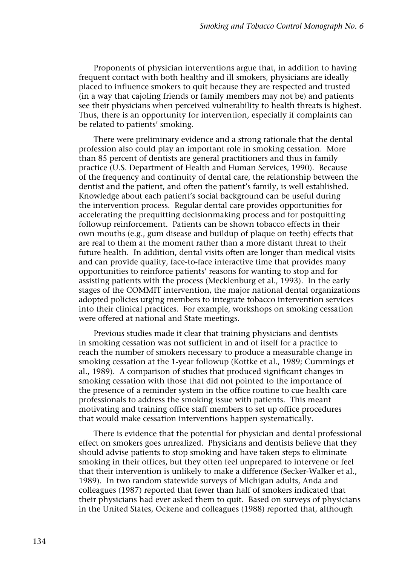Proponents of physician interventions argue that, in addition to having frequent contact with both healthy and ill smokers, physicians are ideally placed to influence smokers to quit because they are respected and trusted (in a way that cajoling friends or family members may not be) and patients see their physicians when perceived vulnerability to health threats is highest. Thus, there is an opportunity for intervention, especially if complaints can be related to patients' smoking.

There were preliminary evidence and a strong rationale that the dental profession also could play an important role in smoking cessation. More than 85 percent of dentists are general practitioners and thus in family practice (U.S. Department of Health and Human Services, 1990). Because of the frequency and continuity of dental care, the relationship between the dentist and the patient, and often the patient's family, is well established. Knowledge about each patient's social background can be useful during the intervention process. Regular dental care provides opportunities for accelerating the prequitting decisionmaking process and for postquitting followup reinforcement. Patients can be shown tobacco effects in their own mouths (e.g., gum disease and buildup of plaque on teeth) effects that are real to them at the moment rather than a more distant threat to their future health. In addition, dental visits often are longer than medical visits and can provide quality, face-to-face interactive time that provides many opportunities to reinforce patients' reasons for wanting to stop and for assisting patients with the process (Mecklenburg et al., 1993). In the early stages of the COMMIT intervention, the major national dental organizations adopted policies urging members to integrate tobacco intervention services into their clinical practices. For example, workshops on smoking cessation were offered at national and State meetings.

Previous studies made it clear that training physicians and dentists in smoking cessation was not sufficient in and of itself for a practice to reach the number of smokers necessary to produce a measurable change in smoking cessation at the 1-year followup (Kottke et al., 1989; Cummings et al., 1989). A comparison of studies that produced significant changes in smoking cessation with those that did not pointed to the importance of the presence of a reminder system in the office routine to cue health care professionals to address the smoking issue with patients. This meant motivating and training office staff members to set up office procedures that would make cessation interventions happen systematically.

There is evidence that the potential for physician and dental professional effect on smokers goes unrealized. Physicians and dentists believe that they should advise patients to stop smoking and have taken steps to eliminate smoking in their offices, but they often feel unprepared to intervene or feel that their intervention is unlikely to make a difference (Secker-Walker et al., 1989). In two random statewide surveys of Michigan adults, Anda and colleagues (1987) reported that fewer than half of smokers indicated that their physicians had ever asked them to quit. Based on surveys of physicians in the United States, Ockene and colleagues (1988) reported that, although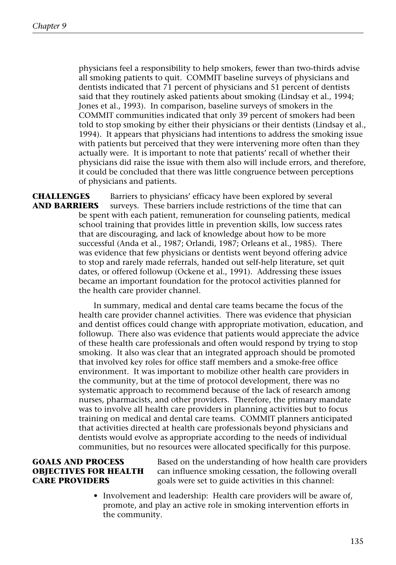physicians feel a responsibility to help smokers, fewer than two-thirds advise all smoking patients to quit. COMMIT baseline surveys of physicians and dentists indicated that 71 percent of physicians and 51 percent of dentists said that they routinely asked patients about smoking (Lindsay et al., 1994; Jones et al., 1993). In comparison, baseline surveys of smokers in the COMMIT communities indicated that only 39 percent of smokers had been told to stop smoking by either their physicians or their dentists (Lindsay et al., 1994). It appears that physicians had intentions to address the smoking issue with patients but perceived that they were intervening more often than they actually were. It is important to note that patients' recall of whether their physicians did raise the issue with them also will include errors, and therefore, it could be concluded that there was little congruence between perceptions of physicians and patients.

**CHALLENGES** Barriers to physicians' efficacy have been explored by several **AND BARRIERS** surveys. These barriers include restrictions of the time that can be spent with each patient, remuneration for counseling patients, medical school training that provides little in prevention skills, low success rates that are discouraging, and lack of knowledge about how to be more successful (Anda et al., 1987; Orlandi, 1987; Orleans et al., 1985). There was evidence that few physicians or dentists went beyond offering advice to stop and rarely made referrals, handed out self-help literature, set quit dates, or offered followup (Ockene et al., 1991). Addressing these issues became an important foundation for the protocol activities planned for the health care provider channel.

> In summary, medical and dental care teams became the focus of the health care provider channel activities. There was evidence that physician and dentist offices could change with appropriate motivation, education, and followup. There also was evidence that patients would appreciate the advice of these health care professionals and often would respond by trying to stop smoking. It also was clear that an integrated approach should be promoted that involved key roles for office staff members and a smoke-free office environment. It was important to mobilize other health care providers in the community, but at the time of protocol development, there was no systematic approach to recommend because of the lack of research among nurses, pharmacists, and other providers. Therefore, the primary mandate was to involve all health care providers in planning activities but to focus training on medical and dental care teams. COMMIT planners anticipated that activities directed at health care professionals beyond physicians and dentists would evolve as appropriate according to the needs of individual communities, but no resources were allocated specifically for this purpose.

**GOALS AND PROCESS** Based on the understanding of how health care providers **OBJECTIVES FOR HEALTH** can influence smoking cessation, the following overall **CARE PROVIDERS** goals were set to guide activities in this channel:

> • Involvement and leadership: Health care providers will be aware of, promote, and play an active role in smoking intervention efforts in the community.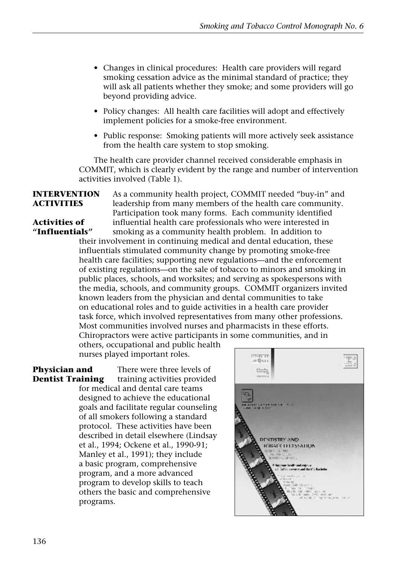- Changes in clinical procedures: Health care providers will regard smoking cessation advice as the minimal standard of practice; they will ask all patients whether they smoke; and some providers will go beyond providing advice.
- Policy changes: All health care facilities will adopt and effectively implement policies for a smoke-free environment.
- Public response: Smoking patients will more actively seek assistance from the health care system to stop smoking.

The health care provider channel received considerable emphasis in COMMIT, which is clearly evident by the range and number of intervention activities involved (Table 1).

# **INTERVENTION** As a community health project, COMMIT needed "buy-in" and

**ACTIVITIES** leadership from many members of the health care community. Participation took many forms. Each community identified **Activities of** influential health care professionals who were interested in **"Influentials"** smoking as a community health problem. In addition to their involvement in continuing medical and dental education, these influentials stimulated community change by promoting smoke-free health care facilities; supporting new regulations—and the enforcement of existing regulations—on the sale of tobacco to minors and smoking in public places, schools, and worksites; and serving as spokespersons with the media, schools, and community groups. COMMIT organizers invited known leaders from the physician and dental communities to take on educational roles and to guide activities in a health care provider task force, which involved representatives from many other professions. Most communities involved nurses and pharmacists in these efforts. Chiropractors were active participants in some communities, and in

others, occupational and public health nurses played important roles.

## **Physician and** There were three levels of

**Dentist Training** training activities provided for medical and dental care teams designed to achieve the educational goals and facilitate regular counseling of all smokers following a standard protocol. These activities have been described in detail elsewhere (Lindsay et al., 1994; Ockene et al., 1990-91; Manley et al., 1991); they include a basic program, comprehensive program, and a more advanced program to develop skills to teach others the basic and comprehensive programs.

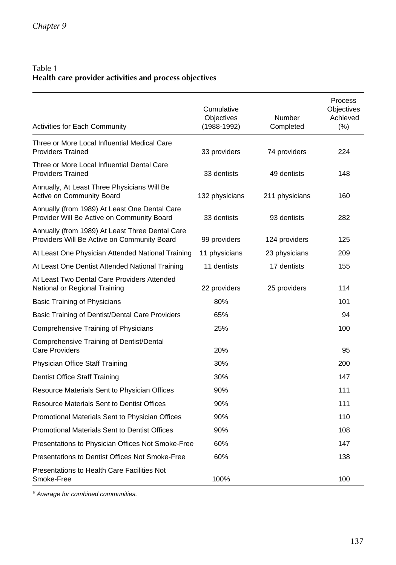### Table 1 **Health care provider activities and process objectives**

| <b>Activities for Each Community</b>                                                           | Cumulative<br>Objectives<br>$(1988-1992)$ | Number<br>Completed | Process<br><b>Objectives</b><br>Achieved<br>(% ) |
|------------------------------------------------------------------------------------------------|-------------------------------------------|---------------------|--------------------------------------------------|
| Three or More Local Influential Medical Care<br><b>Providers Trained</b>                       | 33 providers                              | 74 providers        | 224                                              |
| Three or More Local Influential Dental Care<br><b>Providers Trained</b>                        | 33 dentists                               | 49 dentists         | 148                                              |
| Annually, At Least Three Physicians Will Be<br>Active on Community Board                       | 132 physicians                            | 211 physicians      | 160                                              |
| Annually (from 1989) At Least One Dental Care<br>Provider Will Be Active on Community Board    | 33 dentists                               | 93 dentists         | 282                                              |
| Annually (from 1989) At Least Three Dental Care<br>Providers Will Be Active on Community Board | 99 providers                              | 124 providers       | 125                                              |
| At Least One Physician Attended National Training                                              | 11 physicians                             | 23 physicians       | 209                                              |
| At Least One Dentist Attended National Training                                                | 11 dentists                               | 17 dentists         | 155                                              |
| At Least Two Dental Care Providers Attended<br>National or Regional Training                   | 22 providers                              | 25 providers        | 114                                              |
| <b>Basic Training of Physicians</b>                                                            | 80%                                       |                     | 101                                              |
| Basic Training of Dentist/Dental Care Providers                                                | 65%                                       |                     | 94                                               |
| Comprehensive Training of Physicians                                                           | 25%                                       |                     | 100                                              |
| Comprehensive Training of Dentist/Dental<br>Care Providers                                     | <b>20%</b>                                |                     | 95                                               |
| Physician Office Staff Training                                                                | 30%                                       |                     | 200                                              |
| Dentist Office Staff Training                                                                  | 30%                                       |                     | 147                                              |
| Resource Materials Sent to Physician Offices                                                   | 90%                                       |                     | 111                                              |
| <b>Resource Materials Sent to Dentist Offices</b>                                              | 90%                                       |                     | 111                                              |
| Promotional Materials Sent to Physician Offices                                                | 90%                                       |                     | 110                                              |
| <b>Promotional Materials Sent to Dentist Offices</b>                                           | 90%                                       |                     | 108                                              |
| Presentations to Physician Offices Not Smoke-Free                                              | 60%                                       |                     | 147                                              |
| Presentations to Dentist Offices Not Smoke-Free                                                | 60%                                       |                     | 138                                              |
| <b>Presentations to Health Care Facilities Not</b><br>Smoke-Free                               | 100%                                      |                     | 100                                              |

a Average for combined communities.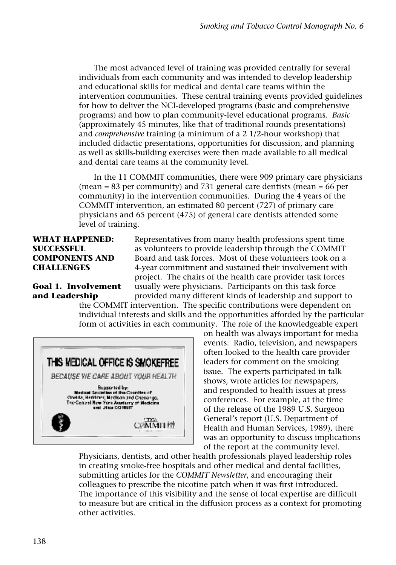The most advanced level of training was provided centrally for several individuals from each community and was intended to develop leadership and educational skills for medical and dental care teams within the intervention communities. These central training events provided guidelines for how to deliver the NCI-developed programs (basic and comprehensive programs) and how to plan community-level educational programs. *Basic* (approximately 45 minutes, like that of traditional rounds presentations) and *comprehensive* training (a minimum of a 2 1/2-hour workshop) that included didactic presentations, opportunities for discussion, and planning as well as skills-building exercises were then made available to all medical and dental care teams at the community level.

In the 11 COMMIT communities, there were 909 primary care physicians (mean = 83 per community) and 731 general care dentists (mean = 66 per community) in the intervention communities. During the 4 years of the COMMIT intervention, an estimated 80 percent (727) of primary care physicians and 65 percent (475) of general care dentists attended some level of training.

**WHAT HAPPENED:** Representatives from many health professions spent time **SUCCESSFUL** as volunteers to provide leadership through the COMMIT **COMPONENTS AND** Board and task forces. Most of these volunteers took on a **CHALLENGES** 4-year commitment and sustained their involvement with project. The chairs of the health care provider task forces **Goal 1. Involvement** usually were physicians. Participants on this task force **and Leadership** provided many different kinds of leadership and support to

> the COMMIT intervention. The specific contributions were dependent on individual interests and skills and the opportunities afforded by the particular form of activities in each community. The role of the knowledgeable expert



on health was always important for media events. Radio, television, and newspapers often looked to the health care provider leaders for comment on the smoking issue. The experts participated in talk shows, wrote articles for newspapers, and responded to health issues at press conferences. For example, at the time of the release of the 1989 U.S. Surgeon General's report (U.S. Department of Health and Human Services, 1989), there was an opportunity to discuss implications of the report at the community level.

Physicians, dentists, and other health professionals played leadership roles in creating smoke-free hospitals and other medical and dental facilities, submitting articles for the *COMMIT Newsletter*, and encouraging their colleagues to prescribe the nicotine patch when it was first introduced. The importance of this visibility and the sense of local expertise are difficult to measure but are critical in the diffusion process as a context for promoting other activities.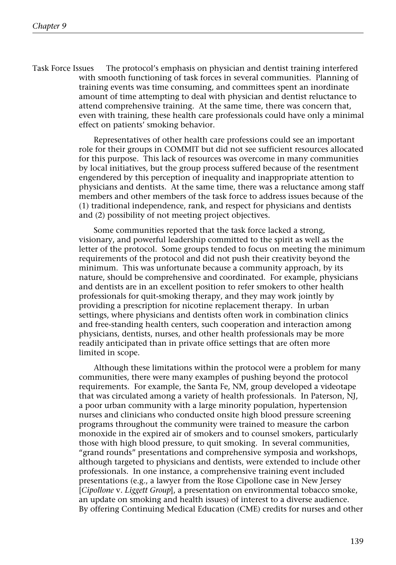Task Force IssuesThe protocol's emphasis on physician and dentist training interfered with smooth functioning of task forces in several communities. Planning of training events was time consuming, and committees spent an inordinate amount of time attempting to deal with physician and dentist reluctance to attend comprehensive training. At the same time, there was concern that, even with training, these health care professionals could have only a minimal effect on patients' smoking behavior.

> Representatives of other health care professions could see an important role for their groups in COMMIT but did not see sufficient resources allocated for this purpose. This lack of resources was overcome in many communities by local initiatives, but the group process suffered because of the resentment engendered by this perception of inequality and inappropriate attention to physicians and dentists. At the same time, there was a reluctance among staff members and other members of the task force to address issues because of the (1) traditional independence, rank, and respect for physicians and dentists and (2) possibility of not meeting project objectives.

> Some communities reported that the task force lacked a strong, visionary, and powerful leadership committed to the spirit as well as the letter of the protocol. Some groups tended to focus on meeting the minimum requirements of the protocol and did not push their creativity beyond the minimum. This was unfortunate because a community approach, by its nature, should be comprehensive and coordinated. For example, physicians and dentists are in an excellent position to refer smokers to other health professionals for quit-smoking therapy, and they may work jointly by providing a prescription for nicotine replacement therapy. In urban settings, where physicians and dentists often work in combination clinics and free-standing health centers, such cooperation and interaction among physicians, dentists, nurses, and other health professionals may be more readily anticipated than in private office settings that are often more limited in scope.

> Although these limitations within the protocol were a problem for many communities, there were many examples of pushing beyond the protocol requirements. For example, the Santa Fe, NM, group developed a videotape that was circulated among a variety of health professionals. In Paterson, NJ, a poor urban community with a large minority population, hypertension nurses and clinicians who conducted onsite high blood pressure screening programs throughout the community were trained to measure the carbon monoxide in the expired air of smokers and to counsel smokers, particularly those with high blood pressure, to quit smoking. In several communities, "grand rounds" presentations and comprehensive symposia and workshops, although targeted to physicians and dentists, were extended to include other professionals. In one instance, a comprehensive training event included presentations (e.g., a lawyer from the Rose Cipollone case in New Jersey [*Cipollone* v. *Liggett Group*], a presentation on environmental tobacco smoke, an update on smoking and health issues) of interest to a diverse audience. By offering Continuing Medical Education (CME) credits for nurses and other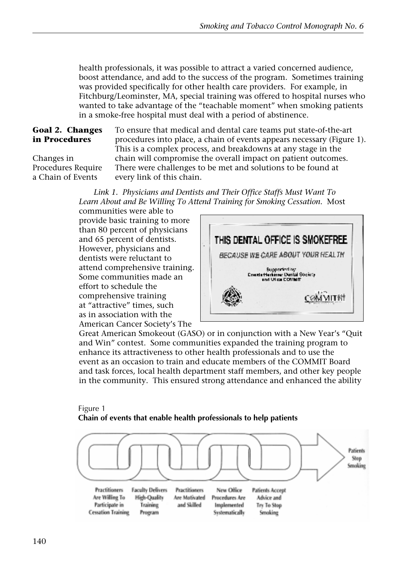health professionals, it was possible to attract a varied concerned audience, boost attendance, and add to the success of the program. Sometimes training was provided specifically for other health care providers. For example, in Fitchburg/Leominster, MA, special training was offered to hospital nurses who wanted to take advantage of the "teachable moment" when smoking patients in a smoke-free hospital must deal with a period of abstinence.

**Goal 2. Changes** To ensure that medical and dental care teams put state-of-the-art **in Procedures** procedures into place, a chain of events appears necessary (Figure 1). This is a complex process, and breakdowns at any stage in the Changes in chain will compromise the overall impact on patient outcomes. Procedures Require There were challenges to be met and solutions to be found at a Chain of Events every link of this chain.

> *Link 1. Physicians and Dentists and Their Office Staffs Must Want To Learn About and Be Willing To Attend Training for Smoking Cessation*. Most

communities were able to provide basic training to more than 80 percent of physicians and 65 percent of dentists. However, physicians and dentists were reluctant to attend comprehensive training. Some communities made an effort to schedule the comprehensive training at "attractive" times, such as in association with the American Cancer Society's The



Great American Smokeout (GASO) or in conjunction with a New Year's "Quit and Win" contest. Some communities expanded the training program to enhance its attractiveness to other health professionals and to use the event as an occasion to train and educate members of the COMMIT Board and task forces, local health department staff members, and other key people in the community. This ensured strong attendance and enhanced the ability

### Figure 1 **Chain of events that enable health professionals to help patients**

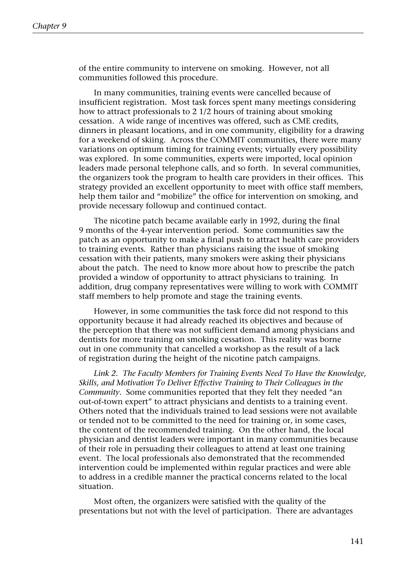of the entire community to intervene on smoking. However, not all communities followed this procedure.

In many communities, training events were cancelled because of insufficient registration. Most task forces spent many meetings considering how to attract professionals to 2 1/2 hours of training about smoking cessation. A wide range of incentives was offered, such as CME credits, dinners in pleasant locations, and in one community, eligibility for a drawing for a weekend of skiing. Across the COMMIT communities, there were many variations on optimum timing for training events; virtually every possibility was explored. In some communities, experts were imported, local opinion leaders made personal telephone calls, and so forth. In several communities, the organizers took the program to health care providers in their offices. This strategy provided an excellent opportunity to meet with office staff members, help them tailor and "mobilize" the office for intervention on smoking, and provide necessary followup and continued contact.

The nicotine patch became available early in 1992, during the final 9 months of the 4-year intervention period. Some communities saw the patch as an opportunity to make a final push to attract health care providers to training events. Rather than physicians raising the issue of smoking cessation with their patients, many smokers were asking their physicians about the patch. The need to know more about how to prescribe the patch provided a window of opportunity to attract physicians to training. In addition, drug company representatives were willing to work with COMMIT staff members to help promote and stage the training events.

However, in some communities the task force did not respond to this opportunity because it had already reached its objectives and because of the perception that there was not sufficient demand among physicians and dentists for more training on smoking cessation. This reality was borne out in one community that cancelled a workshop as the result of a lack of registration during the height of the nicotine patch campaigns.

*Link 2. The Faculty Members for Training Events Need To Have the Knowledge, Skills, and Motivation To Deliver Effective Training to Their Colleagues in the Community*. Some communities reported that they felt they needed "an out-of-town expert" to attract physicians and dentists to a training event. Others noted that the individuals trained to lead sessions were not available or tended not to be committed to the need for training or, in some cases, the content of the recommended training. On the other hand, the local physician and dentist leaders were important in many communities because of their role in persuading their colleagues to attend at least one training event. The local professionals also demonstrated that the recommended intervention could be implemented within regular practices and were able to address in a credible manner the practical concerns related to the local situation.

Most often, the organizers were satisfied with the quality of the presentations but not with the level of participation. There are advantages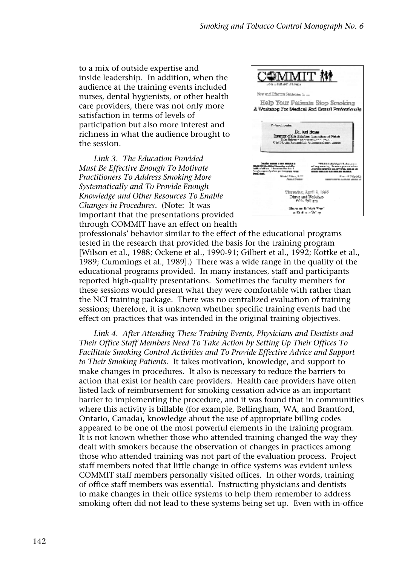to a mix of outside expertise and inside leadership. In addition, when the audience at the training events included nurses, dental hygienists, or other health care providers, there was not only more satisfaction in terms of levels of participation but also more interest and richness in what the audience brought to the session.

*Link 3. The Education Provided Must Be Effective Enough To Motivate Practitioners To Address Smoking More Systematically and To Provide Enough Knowledge and Other Resources To Enable Changes in Procedures*. (Note: It was important that the presentations provided through COMMIT have an effect on health



professionals' behavior similar to the effect of the educational programs tested in the research that provided the basis for the training program [Wilson et al., 1988; Ockene et al., 1990-91; Gilbert et al., 1992; Kottke et al., 1989; Cummings et al., 1989].) There was a wide range in the quality of the educational programs provided. In many instances, staff and participants reported high-quality presentations. Sometimes the faculty members for these sessions would present what they were comfortable with rather than the NCI training package. There was no centralized evaluation of training sessions; therefore, it is unknown whether specific training events had the effect on practices that was intended in the original training objectives.

*Link 4. After Attending These Training Events, Physicians and Dentists and Their Office Staff Members Need To Take Action by Setting Up Their Offices To Facilitate Smoking Control Activities and To Provide Effective Advice and Support to Their Smoking Patients*. It takes motivation, knowledge, and support to make changes in procedures. It also is necessary to reduce the barriers to action that exist for health care providers. Health care providers have often listed lack of reimbursement for smoking cessation advice as an important barrier to implementing the procedure, and it was found that in communities where this activity is billable (for example, Bellingham, WA, and Brantford, Ontario, Canada), knowledge about the use of appropriate billing codes appeared to be one of the most powerful elements in the training program. It is not known whether those who attended training changed the way they dealt with smokers because the observation of changes in practices among those who attended training was not part of the evaluation process. Project staff members noted that little change in office systems was evident unless COMMIT staff members personally visited offices. In other words, training of office staff members was essential. Instructing physicians and dentists to make changes in their office systems to help them remember to address smoking often did not lead to these systems being set up. Even with in-office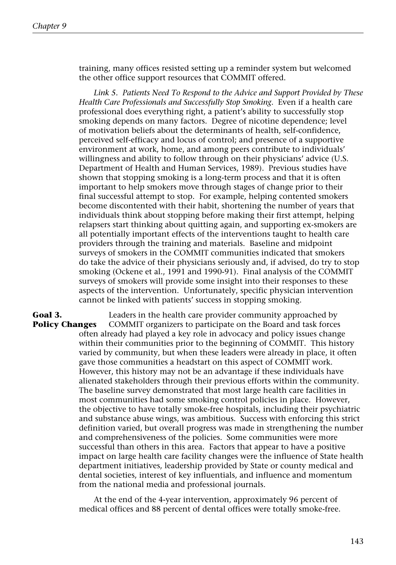training, many offices resisted setting up a reminder system but welcomed the other office support resources that COMMIT offered.

*Link 5. Patients Need To Respond to the Advice and Support Provided by These Health Care Professionals and Successfully Stop Smoking*. Even if a health care professional does everything right, a patient's ability to successfully stop smoking depends on many factors. Degree of nicotine dependence; level of motivation beliefs about the determinants of health, self-confidence, perceived self-efficacy and locus of control; and presence of a supportive environment at work, home, and among peers contribute to individuals' willingness and ability to follow through on their physicians' advice (U.S. Department of Health and Human Services, 1989). Previous studies have shown that stopping smoking is a long-term process and that it is often important to help smokers move through stages of change prior to their final successful attempt to stop. For example, helping contented smokers become discontented with their habit, shortening the number of years that individuals think about stopping before making their first attempt, helping relapsers start thinking about quitting again, and supporting ex-smokers are all potentially important effects of the interventions taught to health care providers through the training and materials. Baseline and midpoint surveys of smokers in the COMMIT communities indicated that smokers do take the advice of their physicians seriously and, if advised, do try to stop smoking (Ockene et al., 1991 and 1990-91). Final analysis of the COMMIT surveys of smokers will provide some insight into their responses to these aspects of the intervention. Unfortunately, specific physician intervention cannot be linked with patients' success in stopping smoking.

**Goal 3.** Leaders in the health care provider community approached by **Policy Changes** COMMIT organizers to participate on the Board and task forces often already had played a key role in advocacy and policy issues change within their communities prior to the beginning of COMMIT. This history varied by community, but when these leaders were already in place, it often gave those communities a headstart on this aspect of COMMIT work. However, this history may not be an advantage if these individuals have alienated stakeholders through their previous efforts within the community. The baseline survey demonstrated that most large health care facilities in most communities had some smoking control policies in place. However, the objective to have totally smoke-free hospitals, including their psychiatric and substance abuse wings, was ambitious. Success with enforcing this strict definition varied, but overall progress was made in strengthening the number and comprehensiveness of the policies. Some communities were more successful than others in this area. Factors that appear to have a positive impact on large health care facility changes were the influence of State health department initiatives, leadership provided by State or county medical and dental societies, interest of key influentials, and influence and momentum from the national media and professional journals.

> At the end of the 4-year intervention, approximately 96 percent of medical offices and 88 percent of dental offices were totally smoke-free.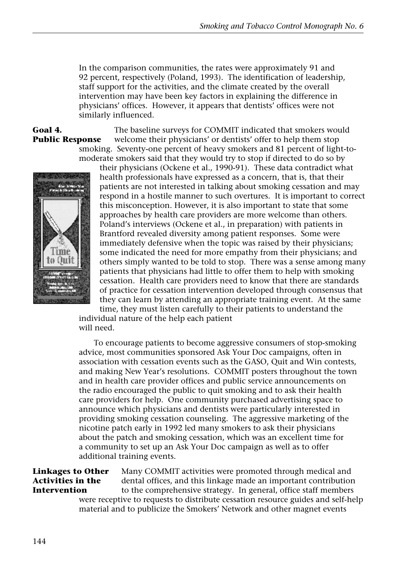In the comparison communities, the rates were approximately 91 and 92 percent, respectively (Poland, 1993). The identification of leadership, staff support for the activities, and the climate created by the overall intervention may have been key factors in explaining the difference in physicians' offices. However, it appears that dentists' offices were not similarly influenced.

**Goal 4.** The baseline surveys for COMMIT indicated that smokers would **Public Response** welcome their physicians' or dentists' offer to help them stop smoking. Seventy-one percent of heavy smokers and 81 percent of light-to-



moderate smokers said that they would try to stop if directed to do so by their physicians (Ockene et al., 1990-91). These data contradict what health professionals have expressed as a concern, that is, that their patients are not interested in talking about smoking cessation and may respond in a hostile manner to such overtures. It is important to correct this misconception. However, it is also important to state that some approaches by health care providers are more welcome than others. Poland's interviews (Ockene et al., in preparation) with patients in Brantford revealed diversity among patient responses. Some were immediately defensive when the topic was raised by their physicians; some indicated the need for more empathy from their physicians; and others simply wanted to be told to stop. There was a sense among many patients that physicians had little to offer them to help with smoking cessation. Health care providers need to know that there are standards of practice for cessation intervention developed through consensus that they can learn by attending an appropriate training event. At the same

time, they must listen carefully to their patients to understand the individual nature of the help each patient will need.

To encourage patients to become aggressive consumers of stop-smoking advice, most communities sponsored Ask Your Doc campaigns, often in association with cessation events such as the GASO, Quit and Win contests, and making New Year's resolutions. COMMIT posters throughout the town and in health care provider offices and public service announcements on the radio encouraged the public to quit smoking and to ask their health care providers for help. One community purchased advertising space to announce which physicians and dentists were particularly interested in providing smoking cessation counseling. The aggressive marketing of the nicotine patch early in 1992 led many smokers to ask their physicians about the patch and smoking cessation, which was an excellent time for a community to set up an Ask Your Doc campaign as well as to offer additional training events.

### **Linkages to Other** Many COMMIT activities were promoted through medical and **Activities in the** dental offices, and this linkage made an important contribution **Intervention** to the comprehensive strategy. In general, office staff members were receptive to requests to distribute cessation resource guides and self-help material and to publicize the Smokers' Network and other magnet events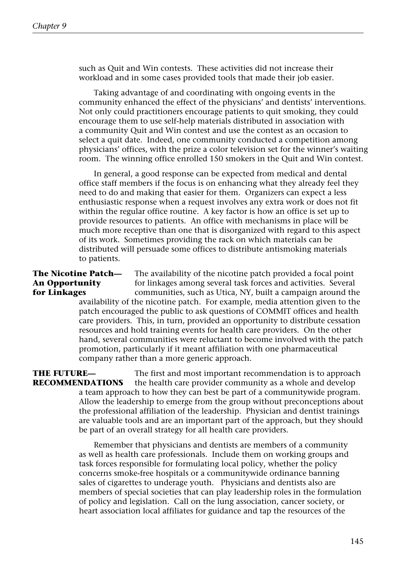such as Quit and Win contests. These activities did not increase their workload and in some cases provided tools that made their job easier.

Taking advantage of and coordinating with ongoing events in the community enhanced the effect of the physicians' and dentists' interventions. Not only could practitioners encourage patients to quit smoking, they could encourage them to use self-help materials distributed in association with a community Quit and Win contest and use the contest as an occasion to select a quit date. Indeed, one community conducted a competition among physicians' offices, with the prize a color television set for the winner's waiting room. The winning office enrolled 150 smokers in the Quit and Win contest.

In general, a good response can be expected from medical and dental office staff members if the focus is on enhancing what they already feel they need to do and making that easier for them. Organizers can expect a less enthusiastic response when a request involves any extra work or does not fit within the regular office routine. A key factor is how an office is set up to provide resources to patients. An office with mechanisms in place will be much more receptive than one that is disorganized with regard to this aspect of its work. Sometimes providing the rack on which materials can be distributed will persuade some offices to distribute antismoking materials to patients.

### **The Nicotine Patch—** The availability of the nicotine patch provided a focal point **An Opportunity** for linkages among several task forces and activities. Several **for Linkages** communities, such as Utica, NY, built a campaign around the availability of the nicotine patch. For example, media attention given to the patch encouraged the public to ask questions of COMMIT offices and health care providers. This, in turn, provided an opportunity to distribute cessation resources and hold training events for health care providers. On the other hand, several communities were reluctant to become involved with the patch promotion, particularly if it meant affiliation with one pharmaceutical company rather than a more generic approach.

**THE FUTURE—** The first and most important recommendation is to approach **RECOMMENDATIONS** the health care provider community as a whole and develop a team approach to how they can best be part of a communitywide program. Allow the leadership to emerge from the group without preconceptions about the professional affiliation of the leadership. Physician and dentist trainings are valuable tools and are an important part of the approach, but they should be part of an overall strategy for all health care providers.

> Remember that physicians and dentists are members of a community as well as health care professionals. Include them on working groups and task forces responsible for formulating local policy, whether the policy concerns smoke-free hospitals or a communitywide ordinance banning sales of cigarettes to underage youth. Physicians and dentists also are members of special societies that can play leadership roles in the formulation of policy and legislation. Call on the lung association, cancer society, or heart association local affiliates for guidance and tap the resources of the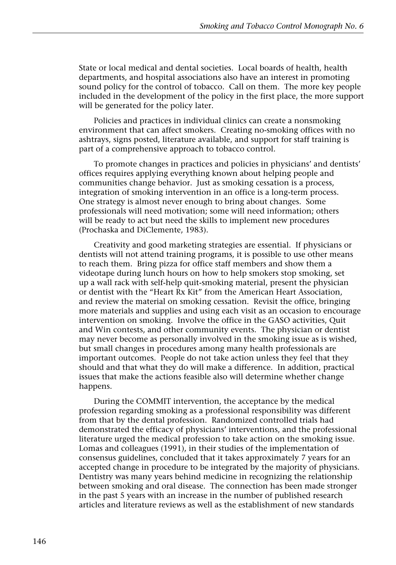State or local medical and dental societies. Local boards of health, health departments, and hospital associations also have an interest in promoting sound policy for the control of tobacco. Call on them. The more key people included in the development of the policy in the first place, the more support will be generated for the policy later.

Policies and practices in individual clinics can create a nonsmoking environment that can affect smokers. Creating no-smoking offices with no ashtrays, signs posted, literature available, and support for staff training is part of a comprehensive approach to tobacco control.

To promote changes in practices and policies in physicians' and dentists' offices requires applying everything known about helping people and communities change behavior. Just as smoking cessation is a process, integration of smoking intervention in an office is a long-term process. One strategy is almost never enough to bring about changes. Some professionals will need motivation; some will need information; others will be ready to act but need the skills to implement new procedures (Prochaska and DiClemente, 1983).

Creativity and good marketing strategies are essential. If physicians or dentists will not attend training programs, it is possible to use other means to reach them. Bring pizza for office staff members and show them a videotape during lunch hours on how to help smokers stop smoking, set up a wall rack with self-help quit-smoking material, present the physician or dentist with the "Heart Rx Kit" from the American Heart Association, and review the material on smoking cessation. Revisit the office, bringing more materials and supplies and using each visit as an occasion to encourage intervention on smoking. Involve the office in the GASO activities, Quit and Win contests, and other community events. The physician or dentist may never become as personally involved in the smoking issue as is wished, but small changes in procedures among many health professionals are important outcomes. People do not take action unless they feel that they should and that what they do will make a difference. In addition, practical issues that make the actions feasible also will determine whether change happens.

During the COMMIT intervention, the acceptance by the medical profession regarding smoking as a professional responsibility was different from that by the dental profession. Randomized controlled trials had demonstrated the efficacy of physicians' interventions, and the professional literature urged the medical profession to take action on the smoking issue. Lomas and colleagues (1991), in their studies of the implementation of consensus guidelines, concluded that it takes approximately 7 years for an accepted change in procedure to be integrated by the majority of physicians. Dentistry was many years behind medicine in recognizing the relationship between smoking and oral disease. The connection has been made stronger in the past 5 years with an increase in the number of published research articles and literature reviews as well as the establishment of new standards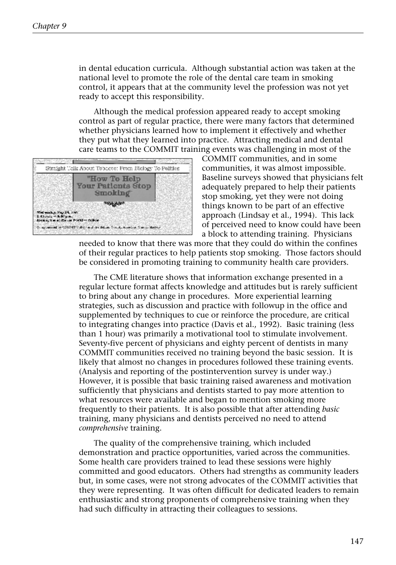in dental education curricula. Although substantial action was taken at the national level to promote the role of the dental care team in smoking control, it appears that at the community level the profession was not yet ready to accept this responsibility.

Although the medical profession appeared ready to accept smoking control as part of regular practice, there were many factors that determined whether physicians learned how to implement it effectively and whether they put what they learned into practice. Attracting medical and dental care teams to the COMMIT training events was challenging in most of the



COMMIT communities, and in some communities, it was almost impossible. Baseline surveys showed that physicians felt adequately prepared to help their patients stop smoking, yet they were not doing things known to be part of an effective approach (Lindsay et al., 1994). This lack of perceived need to know could have been a block to attending training. Physicians

needed to know that there was more that they could do within the confines of their regular practices to help patients stop smoking. Those factors should be considered in promoting training to community health care providers.

The CME literature shows that information exchange presented in a regular lecture format affects knowledge and attitudes but is rarely sufficient to bring about any change in procedures. More experiential learning strategies, such as discussion and practice with followup in the office and supplemented by techniques to cue or reinforce the procedure, are critical to integrating changes into practice (Davis et al., 1992). Basic training (less than 1 hour) was primarily a motivational tool to stimulate involvement. Seventy-five percent of physicians and eighty percent of dentists in many COMMIT communities received no training beyond the basic session. It is likely that almost no changes in procedures followed these training events. (Analysis and reporting of the postintervention survey is under way.) However, it is possible that basic training raised awareness and motivation sufficiently that physicians and dentists started to pay more attention to what resources were available and began to mention smoking more frequently to their patients. It is also possible that after attending *basic* training, many physicians and dentists perceived no need to attend *comprehensive* training.

The quality of the comprehensive training, which included demonstration and practice opportunities, varied across the communities. Some health care providers trained to lead these sessions were highly committed and good educators. Others had strengths as community leaders but, in some cases, were not strong advocates of the COMMIT activities that they were representing. It was often difficult for dedicated leaders to remain enthusiastic and strong proponents of comprehensive training when they had such difficulty in attracting their colleagues to sessions.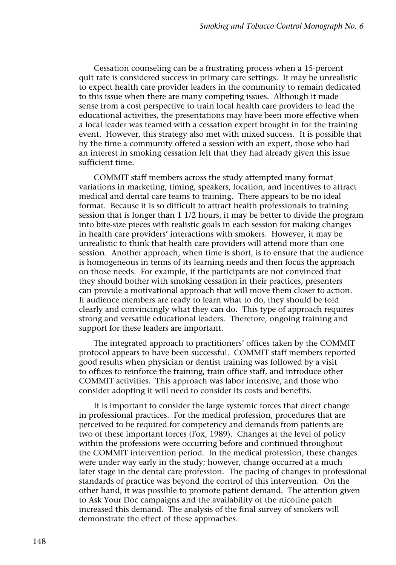Cessation counseling can be a frustrating process when a 15-percent quit rate is considered success in primary care settings. It may be unrealistic to expect health care provider leaders in the community to remain dedicated to this issue when there are many competing issues. Although it made sense from a cost perspective to train local health care providers to lead the educational activities, the presentations may have been more effective when a local leader was teamed with a cessation expert brought in for the training event. However, this strategy also met with mixed success. It is possible that by the time a community offered a session with an expert, those who had an interest in smoking cessation felt that they had already given this issue sufficient time.

COMMIT staff members across the study attempted many format variations in marketing, timing, speakers, location, and incentives to attract medical and dental care teams to training. There appears to be no ideal format. Because it is so difficult to attract health professionals to training session that is longer than 1 1/2 hours, it may be better to divide the program into bite-size pieces with realistic goals in each session for making changes in health care providers' interactions with smokers. However, it may be unrealistic to think that health care providers will attend more than one session. Another approach, when time is short, is to ensure that the audience is homogeneous in terms of its learning needs and then focus the approach on those needs. For example, if the participants are not convinced that they should bother with smoking cessation in their practices, presenters can provide a motivational approach that will move them closer to action. If audience members are ready to learn what to do, they should be told clearly and convincingly what they can do. This type of approach requires strong and versatile educational leaders. Therefore, ongoing training and support for these leaders are important.

The integrated approach to practitioners' offices taken by the COMMIT protocol appears to have been successful. COMMIT staff members reported good results when physician or dentist training was followed by a visit to offices to reinforce the training, train office staff, and introduce other COMMIT activities. This approach was labor intensive, and those who consider adopting it will need to consider its costs and benefits.

It is important to consider the large systemic forces that direct change in professional practices. For the medical profession, procedures that are perceived to be required for competency and demands from patients are two of these important forces (Fox, 1989). Changes at the level of policy within the professions were occurring before and continued throughout the COMMIT intervention period. In the medical profession, these changes were under way early in the study; however, change occurred at a much later stage in the dental care profession. The pacing of changes in professional standards of practice was beyond the control of this intervention. On the other hand, it was possible to promote patient demand. The attention given to Ask Your Doc campaigns and the availability of the nicotine patch increased this demand. The analysis of the final survey of smokers will demonstrate the effect of these approaches.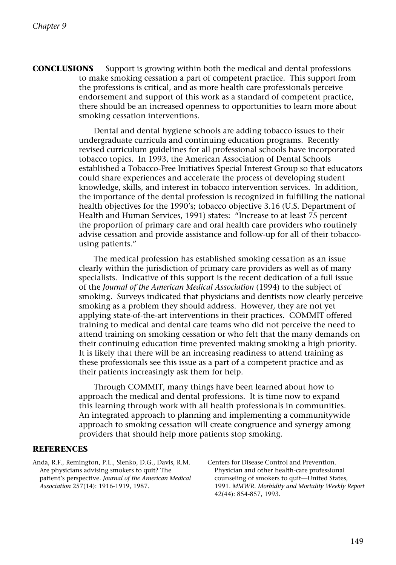**CONCLUSIONS** Support is growing within both the medical and dental professions to make smoking cessation a part of competent practice. This support from the professions is critical, and as more health care professionals perceive endorsement and support of this work as a standard of competent practice, there should be an increased openness to opportunities to learn more about smoking cessation interventions.

> Dental and dental hygiene schools are adding tobacco issues to their undergraduate curricula and continuing education programs. Recently revised curriculum guidelines for all professional schools have incorporated tobacco topics. In 1993, the American Association of Dental Schools established a Tobacco-Free Initiatives Special Interest Group so that educators could share experiences and accelerate the process of developing student knowledge, skills, and interest in tobacco intervention services. In addition, the importance of the dental profession is recognized in fulfilling the national health objectives for the 1990's; tobacco objective 3.16 (U.S. Department of Health and Human Services, 1991) states: "Increase to at least 75 percent the proportion of primary care and oral health care providers who routinely advise cessation and provide assistance and follow-up for all of their tobaccousing patients."

The medical profession has established smoking cessation as an issue clearly within the jurisdiction of primary care providers as well as of many specialists. Indicative of this support is the recent dedication of a full issue of the *Journal of the American Medical Association* (1994) to the subject of smoking. Surveys indicated that physicians and dentists now clearly perceive smoking as a problem they should address. However, they are not yet applying state-of-the-art interventions in their practices. COMMIT offered training to medical and dental care teams who did not perceive the need to attend training on smoking cessation or who felt that the many demands on their continuing education time prevented making smoking a high priority. It is likely that there will be an increasing readiness to attend training as these professionals see this issue as a part of a competent practice and as their patients increasingly ask them for help.

Through COMMIT, many things have been learned about how to approach the medical and dental professions. It is time now to expand this learning through work with all health professionals in communities. An integrated approach to planning and implementing a communitywide approach to smoking cessation will create congruence and synergy among providers that should help more patients stop smoking.

### **REFERENCES**

Anda, R.F., Remington, P.L., Sienko, D.G., Davis, R.M. Are physicians advising smokers to quit? The patient's perspective. *Journal of the American Medical Association* 257(14): 1916-1919, 1987.

Centers for Disease Control and Prevention. Physician and other health-care professional counseling of smokers to quit—United States, 1991. *MMWR. Morbidity and Mortality Weekly Report* 42(44): 854-857, 1993.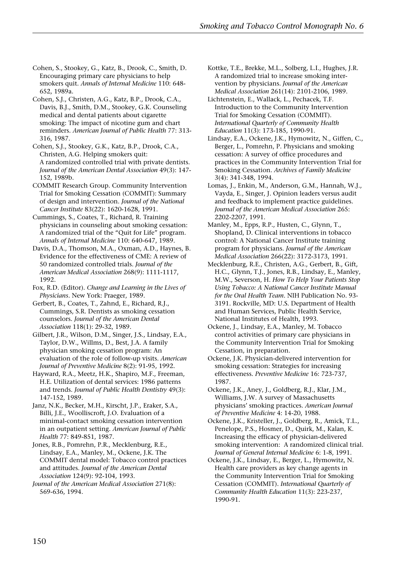- Cohen, S., Stookey, G., Katz, B., Drook, C., Smith, D. Encouraging primary care physicians to help smokers quit. *Annals of Internal Medicine* 110: 648- 652, 1989a.
- Cohen, S.J., Christen, A.G., Katz, B.P., Drook, C.A., Davis, B.J., Smith, D.M., Stookey, G.K. Counseling medical and dental patients about cigarette smoking: The impact of nicotine gum and chart reminders. *American Journal of Public Health* 77: 313- 316, 1987.
- Cohen, S.J., Stookey, G.K., Katz, B.P., Drook, C.A., Christen, A.G. Helping smokers quit: A randomized controlled trial with private dentists. *Journal of the American Dental Association* 49(3): 147- 152, 1989b.
- COMMIT Research Group. Community Intervention Trial for Smoking Cessation (COMMIT): Summary of design and intervention. *Journal of the National Cancer Institute* 83(22): 1620-1628, 1991.
- Cummings, S., Coates, T., Richard, R. Training physicians in counseling about smoking cessation: A randomized trial of the "Quit for Life" program. *Annals of Internal Medicine* 110: 640-647, 1989.
- Davis, D.A., Thomson, M.A., Oxman, A.D., Haynes, B. Evidence for the effectiveness of CME: A review of 50 randomized controlled trials. *Journal of the American Medical Association* 268(9): 1111-1117, 1992.
- Fox, R.D. (Editor). *Change and Learning in the Lives of Physicians*. New York: Praeger, 1989.
- Gerbert, B., Coates, T., Zahnd, E., Richard, R.J., Cummings, S.R. Dentists as smoking cessation counselors. *Journal of the American Dental Association* 118(1): 29-32, 1989.
- Gilbert, J.R., Wilson, D.M., Singer, J.S., Lindsay, E.A., Taylor, D.W., Willms, D., Best, J.A. A family physician smoking cessation program: An evaluation of the role of follow-up visits. *American Journal of Preventive Medicine* 8(2): 91-95, 1992.
- Hayward, R.A., Meetz, H.K., Shapiro, M.F., Freeman, H.E. Utilization of dental services: 1986 patterns and trends. *Journal of Public Health Dentistry* 49(3): 147-152, 1989.
- Janz, N.K., Becker, M.H., Kirscht, J.P., Eraker, S.A., Billi, J.E., Woolliscroft, J.O. Evaluation of a minimal-contact smoking cessation intervention in an outpatient setting. *American Journal of Public Health* 77: 849-851, 1987.
- Jones, R.B., Pomrehn, P.R., Mecklenburg, R.E., Lindsay, E.A., Manley, M., Ockene, J.K. The COMMIT dental model: Tobacco control practices and attitudes. *Journal of the American Dental Association* 124(9): 92-104, 1993.
- *Journal of the American Medical Association* 271(8): 569-636, 1994.
- Kottke, T.E., Brekke, M.L., Solberg, L.I., Hughes, J.R. A randomized trial to increase smoking intervention by physicians. *Journal of the American Medical Association* 261(14): 2101-2106, 1989.
- Lichtenstein, E., Wallack, L., Pechacek, T.F. Introduction to the Community Intervention Trial for Smoking Cessation (COMMIT). *International Quarterly of Community Health Education* 11(3): 173-185, 1990-91.
- Lindsay, E.A., Ockene, J.K., Hymowitz, N., Giffen, C., Berger, L., Pomrehn, P. Physicians and smoking cessation: A survey of office procedures and practices in the Community Intervention Trial for Smoking Cessation. *Archives of Family Medicine* 3(4): 341-348, 1994.
- Lomas, J., Enkin, M., Anderson, G.M., Hannah, W.J., Vayda, E., Singer, J. Opinion leaders versus audit and feedback to implement practice guidelines. *Journal of the American Medical Association* 265: 2202-2207, 1991.
- Manley, M., Epps, R.P., Husten, C., Glynn, T., Shopland, D. Clinical interventions in tobacco control: A National Cancer Institute training program for physicians. *Journal of the American Medical Association* 266(22): 3172-3173, 1991.
- Mecklenburg, R.E., Christen, A.G., Gerbert, B., Gift, H.C., Glynn, T.J., Jones, R.B., Lindsay, E., Manley, M.W., Severson, H. *How To Help Your Patients Stop Using Tobacco: A National Cancer Institute Manual for the Oral Health Team*. NIH Publication No. 93- 3191. Rockville, MD: U.S. Department of Health and Human Services, Public Health Service, National Institutes of Health, 1993.
- Ockene, J., Lindsay, E.A., Manley, M. Tobacco control activities of primary care physicians in the Community Intervention Trial for Smoking Cessation, in preparation.
- Ockene, J.K. Physician-delivered intervention for smoking cessation: Strategies for increasing effectiveness. *Preventive Medicine* 16: 723-737, 1987.
- Ockene, J.K., Aney, J., Goldberg, R.J., Klar, J.M., Williams, J.W. A survey of Massachusetts physicians' smoking practices. *American Journal of Preventive Medicine* 4: 14-20, 1988.
- Ockene, J.K., Kristeller, J., Goldberg, R., Amick, T.L., Penelope, P.S., Hosmer, D., Quirk, M., Kalan, K. Increasing the efficacy of physician-delivered smoking intervention: A randomized clinical trial. *Journal of General Internal Medicine* 6: 1-8, 1991.
- Ockene, J.K., Lindsay, E., Berger, L., Hymowitz, N. Health care providers as key change agents in the Community Intervention Trial for Smoking Cessation (COMMIT). *International Quarterly of Community Health Education* 11(3): 223-237, 1990-91.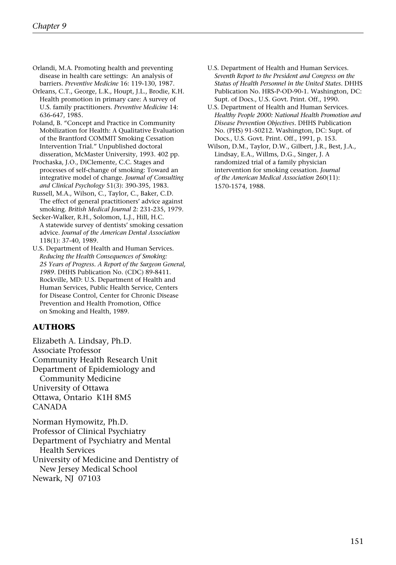Orlandi, M.A. Promoting health and preventing disease in health care settings: An analysis of barriers. *Preventive Medicine* 16: 119-130, 1987.

Orleans, C.T., George, L.K., Houpt, J.L., Brodie, K.H. Health promotion in primary care: A survey of U.S. family practitioners. *Preventive Medicine* 14: 636-647, 1985.

Poland, B. "Concept and Practice in Community Mobilization for Health: A Qualitative Evaluation of the Brantford COMMIT Smoking Cessation Intervention Trial." Unpublished doctoral disseration, McMaster University, 1993. 402 pp.

Prochaska, J.O., DiClemente, C.C. Stages and processes of self-change of smoking: Toward an integrative model of change. *Journal of Consulting and Clinical Psychology* 51(3): 390-395, 1983.

Russell, M.A., Wilson, C., Taylor, C., Baker, C.D. The effect of general practitioners' advice against smoking. *British Medical Journal* 2: 231-235, 1979.

Secker-Walker, R.H., Solomon, L.J., Hill, H.C. A statewide survey of dentists' smoking cessation advice. *Journal of the American Dental Association* 118(1): 37-40, 1989.

U.S. Department of Health and Human Services. *Reducing the Health Consequences of Smoking: 25 Years of Progress. A Report of the Surgeon General, 1989*. DHHS Publication No. (CDC) 89-8411. Rockville, MD: U.S. Department of Health and Human Services, Public Health Service, Centers for Disease Control, Center for Chronic Disease Prevention and Health Promotion, Office on Smoking and Health, 1989.

### **AUTHORS**

Elizabeth A. Lindsay, Ph.D. Associate Professor Community Health Research Unit Department of Epidemiology and Community Medicine University of Ottawa Ottawa, Ontario K1H 8M5 CANADA

Norman Hymowitz, Ph.D. Professor of Clinical Psychiatry Department of Psychiatry and Mental Health Services University of Medicine and Dentistry of New Jersey Medical School

Newark, NJ 07103

U.S. Department of Health and Human Services. *Seventh Report to the President and Congress on the Status of Health Personnel in the United States*. DHHS Publication No. HRS-P-OD-90-1. Washington, DC: Supt. of Docs., U.S. Govt. Print. Off., 1990.

U.S. Department of Health and Human Services. *Healthy People 2000: National Health Promotion and Disease Prevention Objectives*. DHHS Publication No. (PHS) 91-50212. Washington, DC: Supt. of Docs., U.S. Govt. Print. Off., 1991, p. 153.

Wilson, D.M., Taylor, D.W., Gilbert, J.R., Best, J.A., Lindsay, E.A., Willms, D.G., Singer, J. A randomized trial of a family physician intervention for smoking cessation. *Journal of the American Medical Association* 260(11): 1570-1574, 1988.